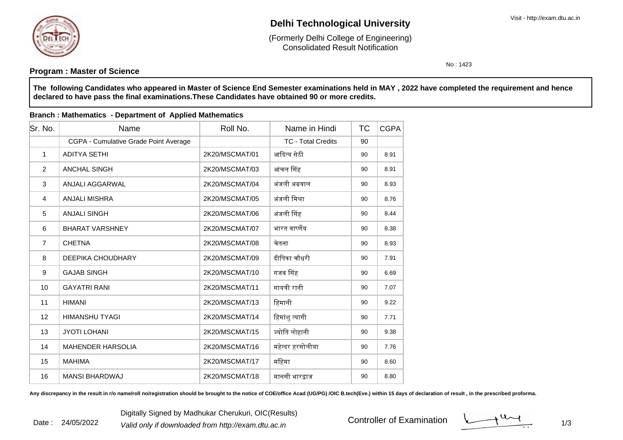

# **Delhi Technological University**

Consolidated Result Notification(Formerly Delhi College of Engineering)

No : 1423

## **Program : Master of Science**

**The following Candidates who appeared in Master of Science End Semester examinations held in MAY , 2022 have completed the requirement and hencedeclared to have pass the final examinations.These Candidates have obtained 90 or more credits.**

#### **Branch : Mathematics - Department of Applied Mathematics**

| Sr. No.        | Name                                  | Roll No.       | Name in Hindi             | ТC | <b>CGPA</b> |
|----------------|---------------------------------------|----------------|---------------------------|----|-------------|
|                | CGPA - Cumulative Grade Point Average |                | <b>TC - Total Credits</b> | 90 |             |
| 1              | <b>ADITYA SETHI</b>                   | 2K20/MSCMAT/01 | आदित्य सेठी               | 90 | 8.91        |
| $\overline{2}$ | <b>ANCHAL SINGH</b>                   | 2K20/MSCMAT/03 | आंचल सिंह                 | 90 | 8.91        |
| 3              | ANJALI AGGARWAL                       | 2K20/MSCMAT/04 | अंजली अग्रवाल             | 90 | 8.93        |
| $\overline{4}$ | <b>ANJALI MISHRA</b>                  | 2K20/MSCMAT/05 | अंजली मिश्रा              | 90 | 8.76        |
| 5              | <b>ANJALI SINGH</b>                   | 2K20/MSCMAT/06 | अंजली सिंह                | 90 | 8.44        |
| 6              | <b>BHARAT VARSHNEY</b>                | 2K20/MSCMAT/07 | भारत वार्ष्णेय            | 90 | 8.38        |
| $\overline{7}$ | <b>CHETNA</b>                         | 2K20/MSCMAT/08 | चेतना                     | 90 | 8.93        |
| 8              | DEEPIKA CHOUDHARY                     | 2K20/MSCMAT/09 | दीपिका चौधरी              | 90 | 7.91        |
| 9              | <b>GAJAB SINGH</b>                    | 2K20/MSCMAT/10 | गजब सिंह                  | 90 | 6.69        |
| 10             | <b>GAYATRI RANI</b>                   | 2K20/MSCMAT/11 | गायत्री रानी              | 90 | 7.07        |
| 11             | <b>HIMANI</b>                         | 2K20/MSCMAT/13 | हिमानी                    | 90 | 9.22        |
| 12             | <b>HIMANSHU TYAGI</b>                 | 2K20/MSCMAT/14 | हिमांशु त्यागी            | 90 | 7.71        |
| 13             | <b>JYOTI LOHANI</b>                   | 2K20/MSCMAT/15 | ज्योति लोहानी             | 90 | 9.38        |
| 14             | <b>MAHENDER HARSOLIA</b>              | 2K20/MSCMAT/16 | महेन्दर हरसोलीया          | 90 | 7.76        |
| 15             | <b>MAHIMA</b>                         | 2K20/MSCMAT/17 | महिमा                     | 90 | 8.60        |
| 16             | <b>MANSI BHARDWAJ</b>                 | 2K20/MSCMAT/18 | मानसी भारद्वाज            | 90 | 8.80        |

Any discrepancy in the result in r/o name/roll no/registration should be brought to the notice of COE/office Acad (UG/PG) /OIC B.tech(Eve.) within 15 days of declaration of result, in the prescribed proforma.

Controller of Examination

 $1/3$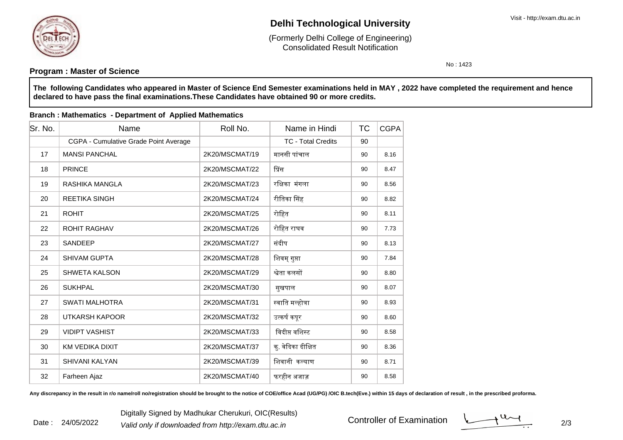

31

32

SHIVANI KALYAN

# **Delhi Technological University**

Consolidated Result Notification(Formerly Delhi College of Engineering)

No : 1423

#### **Program : Master of Science**

**The following Candidates who appeared in Master of Science End Semester examinations held in MAY , 2022 have completed the requirement and hencedeclared to have pass the final examinations.These Candidates have obtained 90 or more credits.**

#### Sr. No. Name Roll No. TCName in HindiTC CGPA CGPA - Cumulative Grade Point Average <sup>90</sup> TC - Total Credits17 MANSI PANCHAL 2K20/MSCMAT/19 मानसी पांचाल <sup>90</sup> 8.16 18 PRINCE2K20/MSCMAT/22 | प्रिंस स | 90 | 8.47 19 RASHIKA MANGLA 2K20/MSCMAT/23 रिᭃका मंगला <sup>90</sup> 8.56 20 REETIKA SINGH 2K20/MSCMAT/24 रीितका ᳲसह <sup>90</sup> 8.82 21 ROHIT2K20/MSCMAT/25 रोहित 190 8.11 22 ROHIT RAGHAV 2K20/MSCMAT/26 रोिहत राघव <sup>90</sup> 7.73 23 SANDEEP2K20/MSCMAT/27 | संदीप 90 | 8.13 24 SHIVAM GUPTA2K20/MSCMAT/28 क्षित्रम् गुप्ता । 90 क्षित्रं प्रशासन 25 SHWETA KALSON 2K20/MSCMAT/29 ᳡ेता कलसᲂ <sup>90</sup> 8.80 266 | SUKHPAL | 2K20/MSCMAT/30 | सुखपाल | 90 | 8.07 27 SWATI MALHOTRA 2K20/MSCMAT/31 ᭭वाित म᭨होᮢा <sup>90</sup> 8.93 28 UTKARSH KAPOOR 2K20/MSCMAT/32 उ᭜कषᭅ कपूर <sup>90</sup> 8.60 29 VIDIPT VASHIST2K20/MSCMAT/33 विदीप्त वशिस्ट 90 8.58 30 KM VEDIKA DIXIT2K20/MSCMAT/37 │ क. वेदिका दीक्षित त | 90 | 8.36

**Branch : Mathematics - Department of Applied Mathematics**

Any discrepancy in the result in r/o name/roll no/registration should be brought to the notice of COE/office Acad (UG/PG) /OIC B.tech(Eve.) within 15 days of declaration of result, in the prescribed proforma.

2K20/MSCMAT/39 हिथानी कल्याण

Farheen Ajaz 2K20/MSCMAT/40 फरहीन अजाज़ <sup>90</sup> 8.58

ण 90 8.71